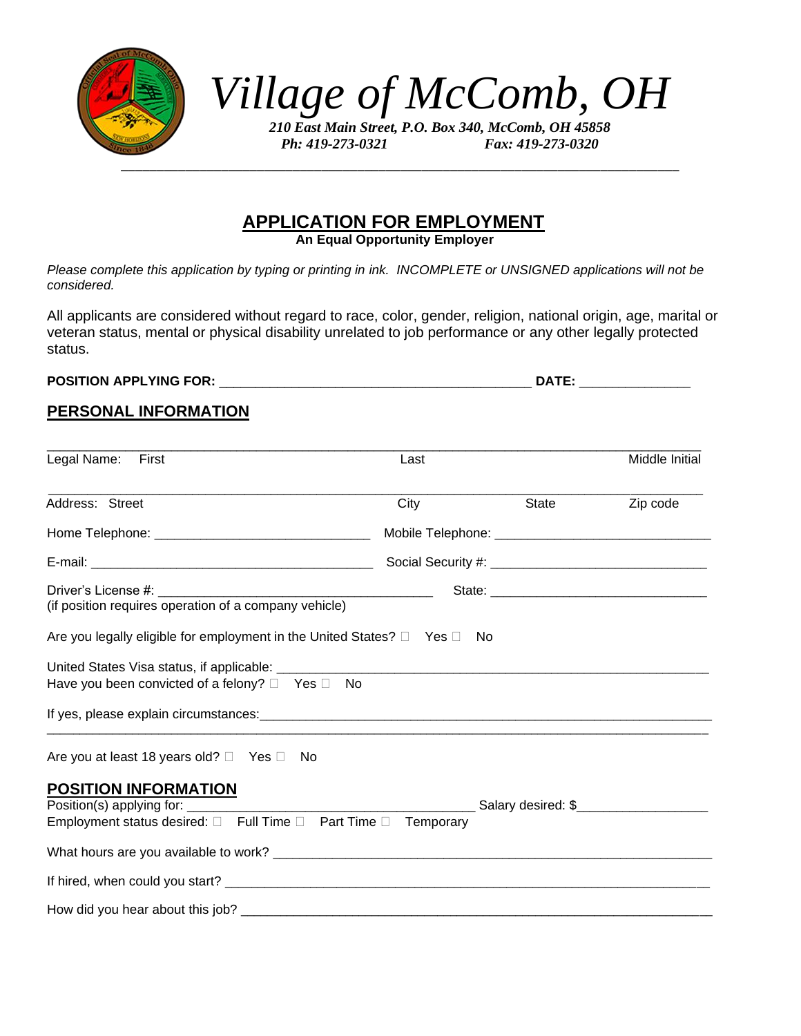

*Village of McComb, OH*

*210 East Main Street, P.O. Box 340, McComb, OH 45858 Ph: 419-273-0321 Fax: 419-273-0320*

# **APPLICATION FOR EMPLOYMENT**

**An Equal Opportunity Employer**

*Please complete this application by typing or printing in ink. INCOMPLETE or UNSIGNED applications will not be considered.*

All applicants are considered without regard to race, color, gender, religion, national origin, age, marital or veteran status, mental or physical disability unrelated to job performance or any other legally protected status.

**POSITION APPLYING FOR:** \_\_\_\_\_\_\_\_\_\_\_\_\_\_\_\_\_\_\_\_\_\_\_\_\_\_\_\_\_\_\_\_\_\_\_\_\_\_\_\_\_\_\_ **DATE:** \_\_\_\_\_\_\_\_\_\_\_\_\_\_\_\_\_

#### **PERSONAL INFORMATION**

| Legal Name:<br>First                                                                          | Last |       | Middle Initial |  |
|-----------------------------------------------------------------------------------------------|------|-------|----------------|--|
| Address: Street                                                                               | City | State | Zip code       |  |
|                                                                                               |      |       |                |  |
|                                                                                               |      |       |                |  |
| (if position requires operation of a company vehicle)                                         |      |       |                |  |
| Are you legally eligible for employment in the United States? $\Box$ Yes $\Box$ No            |      |       |                |  |
| Have you been convicted of a felony? $\Box$ Yes $\Box$ No                                     |      |       |                |  |
|                                                                                               |      |       |                |  |
| Are you at least 18 years old? $\Box$ Yes $\Box$ No                                           |      |       |                |  |
| <b>POSITION INFORMATION</b><br>Employment status desired: □ Full Time □ Part Time □ Temporary |      |       |                |  |
|                                                                                               |      |       |                |  |
|                                                                                               |      |       |                |  |
|                                                                                               |      |       |                |  |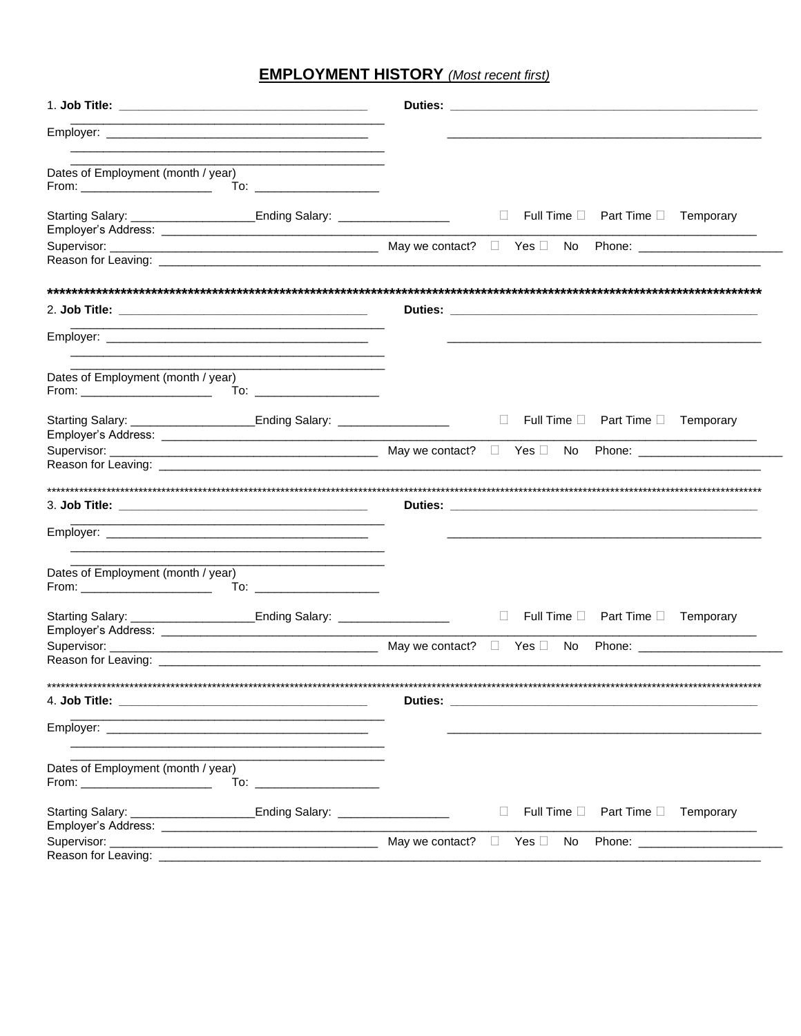## **EMPLOYMENT HISTORY** (Most recent first)

| <u> 1944 - Johann Barn, fransk politik (d. 1954)</u>                                                                  |                                                                                                                                                                                                                                      |
|-----------------------------------------------------------------------------------------------------------------------|--------------------------------------------------------------------------------------------------------------------------------------------------------------------------------------------------------------------------------------|
| Dates of Employment (month / year)<br>From: ________________________                                                  |                                                                                                                                                                                                                                      |
| Starting Salary: __________________________Ending Salary: ______________________                                      | $\Box$ Full Time $\Box$ Part Time $\Box$ Temporary                                                                                                                                                                                   |
|                                                                                                                       |                                                                                                                                                                                                                                      |
|                                                                                                                       |                                                                                                                                                                                                                                      |
| 2. Job Title: 2. Job Title:                                                                                           | Duties: <u>Duties: Andreas and the second contract of the second contract of the second contract of the second contract of the second contract of the second contract of the second contract of the second contract of the secon</u> |
| <u> 1989 - Johann John Stein, mars an deus de Francisco (f. 1989)</u>                                                 |                                                                                                                                                                                                                                      |
| Dates of Employment (month / year)                                                                                    |                                                                                                                                                                                                                                      |
| Starting Salary: __________________________Ending Salary: ______________________                                      | $\Box$ Full Time $\Box$ Part Time $\Box$ Temporary                                                                                                                                                                                   |
|                                                                                                                       |                                                                                                                                                                                                                                      |
|                                                                                                                       |                                                                                                                                                                                                                                      |
|                                                                                                                       |                                                                                                                                                                                                                                      |
| Dates of Employment (month / year)                                                                                    |                                                                                                                                                                                                                                      |
| Starting Salary: ____________________________Ending Salary: ____________________                                      | $\Box$ Full Time $\Box$ Part Time $\Box$ Temporary                                                                                                                                                                                   |
|                                                                                                                       |                                                                                                                                                                                                                                      |
|                                                                                                                       |                                                                                                                                                                                                                                      |
|                                                                                                                       |                                                                                                                                                                                                                                      |
| <u> 1989 - Johann John Stoff, deutscher Stoffen und der Stoffen und der Stoffen und der Stoffen und der Stoffen u</u> |                                                                                                                                                                                                                                      |
| Dates of Employment (month / year)<br>$From: ____________$<br>To: ______________________                              |                                                                                                                                                                                                                                      |
| Starting Salary: ___________________________Ending Salary: _____________________                                      | Full Time □ Part Time □ Temporary<br>$\mathbb{R}^n$                                                                                                                                                                                  |
|                                                                                                                       |                                                                                                                                                                                                                                      |